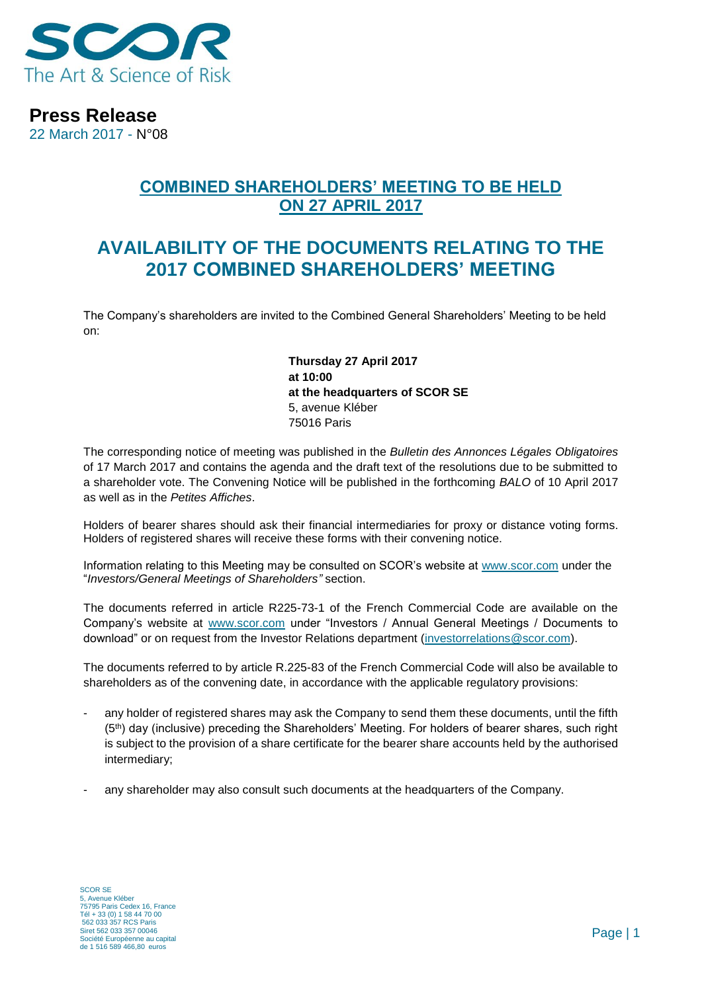

**Press Release**

22 March 2017 - N°08

### **COMBINED SHAREHOLDERS' MEETING TO BE HELD ON 27 APRIL 2017**

# **AVAILABILITY OF THE DOCUMENTS RELATING TO THE 2017 COMBINED SHAREHOLDERS' MEETING**

The Company's shareholders are invited to the Combined General Shareholders' Meeting to be held on:

> **Thursday 27 April 2017 at 10:00 at the headquarters of SCOR SE** 5, avenue Kléber 75016 Paris

The corresponding notice of meeting was published in the *Bulletin des Annonces Légales Obligatoires*  of 17 March 2017 and contains the agenda and the draft text of the resolutions due to be submitted to a shareholder vote. The Convening Notice will be published in the forthcoming *BALO* of 10 April 2017 as well as in the *Petites Affiches*.

Holders of bearer shares should ask their financial intermediaries for proxy or distance voting forms. Holders of registered shares will receive these forms with their convening notice.

Information relating to this Meeting may be consulted on SCOR's website at www.scor.com under the "*Investors/General Meetings of Shareholders"* section.

The documents referred in article R225-73-1 of the French Commercial Code are available on the Company's website at [www.scor.com](http://www.scor.com/) under "Investors / Annual General Meetings / Documents to download" or on request from the Investor Relations department [\(investorrelations@scor.com\)](mailto:Investorrelations@scor.com).

The documents referred to by article R.225-83 of the French Commercial Code will also be available to shareholders as of the convening date, in accordance with the applicable regulatory provisions:

- any holder of registered shares may ask the Company to send them these documents, until the fifth (5th) day (inclusive) preceding the Shareholders' Meeting. For holders of bearer shares, such right is subject to the provision of a share certificate for the bearer share accounts held by the authorised intermediary;
- any shareholder may also consult such documents at the headquarters of the Company.